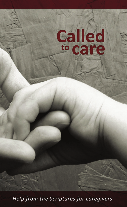# **Called**<br>to care

Help from the Scriptures for caregivers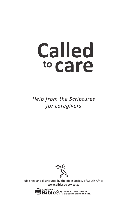# **Called** to care

*Help from the Scriptures for caregivers*



Published and distributed by the Bible Society of South Africa. **www.biblesociety.co.za**



Bibles and audio Bibles are available on the **BibleSA app.**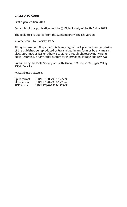### **CALLED TO CARE**

First digital edition 2013

Copyright of this publication held by © Bible Society of South Africa 2013

The Bible text is quoted from the Contemporary English Version

© American Bible Society 1995

All rights reserved. No part of this book may, without prior written permission of the publisher, be reproduced or transmitted in any form or by any means, electronic, mechanical or otherwise, either through photocopying, writing, audio recording, or any other system for information storage and retrieval.

Published by the Bible Society of South Africa, P O Box 5500, Tyger Valley 7536, Bellville

www.biblesociety.co.za

| Epub format | ISBN 978-0-7982-1727-9 |
|-------------|------------------------|
| Mobi format | ISBN 978-0-7982-1728-6 |
| PDF format  | ISBN 978-0-7982-1729-3 |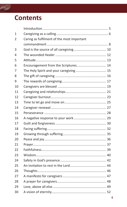# **Contents**

 $\frac{1}{\sqrt{2}}$ 

| 1  |                                            |  |
|----|--------------------------------------------|--|
| 2  | Caring as fulfilment of the most important |  |
|    |                                            |  |
| 3  |                                            |  |
| 4  |                                            |  |
| 5  |                                            |  |
| 6  | Encouragement from the Scriptures 14       |  |
| 7  |                                            |  |
| 8  |                                            |  |
| 9  |                                            |  |
| 10 |                                            |  |
| 11 |                                            |  |
| 12 |                                            |  |
| 13 |                                            |  |
| 14 |                                            |  |
| 15 |                                            |  |
| 16 |                                            |  |
| 17 |                                            |  |
| 18 |                                            |  |
| 19 |                                            |  |
| 20 |                                            |  |
| 21 |                                            |  |
| 22 |                                            |  |
| 23 |                                            |  |
| 24 |                                            |  |
| 25 |                                            |  |
| 26 |                                            |  |
| 27 |                                            |  |
| 28 |                                            |  |
| 29 |                                            |  |
| 30 |                                            |  |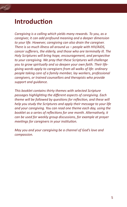# **Introduction**

*Caregiving is a calling which yields many rewards. To you, as a caregiver, it can add profound meaning and a deeper dimension to your life. However, caregiving can also drain the caregiver. There is so much illness all around us – people with HIV/AIDS, cancer sufferers, the elderly, and those who are terminally ill. The Holy Scriptures will bring hope, encouragement, and perspective to your caregiving. We pray that these Scriptures will challenge you to grow spiritually and so deepen your own faith. Their lifegiving words apply to caregivers from all walks of life: ordinary people taking care of a family member, lay workers, professional caregivers, or trained counsellors and therapists who provide support and guidance.*

*This booklet contains thirty themes with selected Scripture passages highlighting the different aspects of caregiving. Each theme will be followed by questions for reflection, and these will help you study the Scriptures and apply their message to your life and your caregiving. You can read one theme each day, using the booklet as a series of reflections for one month. Alternatively, it can be used for weekly group discussions, for example at prayer meetings for caregivers in your institution.*

*May you and your caregiving be a channel of God's love and compassion.*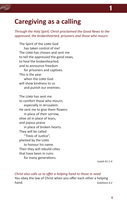# **Caregiving as a calling**

*Through the Holy Spirit, Christ proclaimed the Good News to the oppressed, the brokenhearted, prisoners and those who mourn.*

The Spirit of the LORD God has taken control of me! The LORD has chosen and sent me to tell the oppressed the good news, to heal the brokenhearted, and to announce freedom for prisoners and captives. This is the year when the LORD God will show kindness to us and punish our enemies.

The LORD has sent me to comfort those who mourn, especially in Jerusalem. He sent me to give them flowers in place of their sorrow, olive oil in place of tears, and joyous praise in place of broken hearts. They will be called "Trees of Justice", planted by the LORD to honour his name. Then they will rebuild cities that have been in ruins for many generations.

*Isaiah 61:1-4*

**1**

### *Christ also calls us to offer a helping hand to those in need.*

You obey the law of Christ when you offer each other a helping hand. *Galatians 6:2*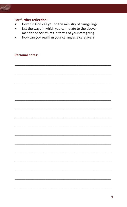### For further reflection:

- $\ddot{\phantom{0}}$ How did God call you to the ministry of caregiving?
- List the ways in which you can relate to the above- $\bullet$ mentioned Scriptures in terms of your caregiving.
- How can you reaffirm your calling as a caregiver?  $\bullet$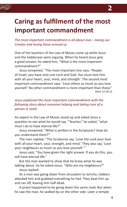# **Caring as fulfilment of the most important commandment**

*The most important commandment is all about love – loving our Creator and loving those around us.*

One of the teachers of the Law of Moses came up while Jesus and the Sadducees were arguing. When he heard Jesus give a good answer, he asked him, "What is the most important commandment?"

Jesus answered, "The most important one says: 'People of Israel, you have only one Lord and God. You must love him with all your heart, soul, mind, and strength.' The second most important commandment says: 'Love others as much as you love yourself.' No other commandment is more important than these." *Mark 12:28-31*

### *Jesus explained the most important commandment with the following story about someone helping and taking care of a person in need:*

An expert in the Law of Moses stood up and asked Jesus a question to see what he would say. "Teacher," he asked, "what must I do to have eternal life?"

Jesus answered, "What is written in the Scriptures? How do you understand them?"

The man replied, "The Scriptures say, 'Love the Lord your God with all your heart, soul, strength, and mind.' They also say, 'Love your neighbours as much as you love yourself.' "

Jesus said, "You have given the right answer. If you do this, you will have eternal life."

But the man wanted to show that he knew what he was talking about. So he asked Jesus, "Who are my neighbours?"

Jesus replied:

As a man was going down from Jerusalem to Jericho, robbers attacked him and grabbed everything he had. They beat him up and ran off, leaving him half dead.

A priest happened to be going down the same road. But when he saw the man, he walked by on the other side. Later a temple

**2**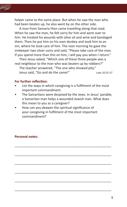helper came to the same place. But when he saw the man who had been beaten up, he also went by on the other side.

A man from Samaria then came travelling along that road. When he saw the man, he felt sorry for him and went over to him. He treated his wounds with olive oil and wine and bandaged them. Then he put him on his own donkey and took him to an inn, where he took care of him. The next morning he gave the innkeeper two silver coins and said, "Please take care of the man. If you spend more than this on him, I will pay you when I return."

Then Jesus asked, "Which one of these three people was a real neighbour to the man who was beaten up by robbers?"

The teacher answered, "The one who showed pity." Jesus said, "Go and do the same!" *Luke 10:25-37*

### **For further reflection:**

- List the ways in which caregiving is a fulfilment of the most important commandment.
- The Samaritans were despised by the Jews. In Jesus' parable, a Samaritan man helps a wounded Jewish man. What does this mean to you as a caregiver?

\_\_\_\_\_\_\_\_\_\_\_\_\_\_\_\_\_\_\_\_\_\_\_\_\_\_\_\_\_\_\_\_\_\_\_\_\_\_\_\_\_\_\_\_\_\_\_\_\_\_\_\_\_

\_\_\_\_\_\_\_\_\_\_\_\_\_\_\_\_\_\_\_\_\_\_\_\_\_\_\_\_\_\_\_\_\_\_\_\_\_\_\_\_\_\_\_\_\_\_\_\_\_\_\_\_\_

\_\_\_\_\_\_\_\_\_\_\_\_\_\_\_\_\_\_\_\_\_\_\_\_\_\_\_\_\_\_\_\_\_\_\_\_\_\_\_\_\_\_\_\_\_\_\_\_\_\_\_\_\_

\_\_\_\_\_\_\_\_\_\_\_\_\_\_\_\_\_\_\_\_\_\_\_\_\_\_\_\_\_\_\_\_\_\_\_\_\_\_\_\_\_\_\_\_\_\_\_\_\_\_\_\_\_

\_\_\_\_\_\_\_\_\_\_\_\_\_\_\_\_\_\_\_\_\_\_\_\_\_\_\_\_\_\_\_\_\_\_\_\_\_\_\_\_\_\_\_\_\_\_\_\_\_\_\_\_\_

\_\_\_\_\_\_\_\_\_\_\_\_\_\_\_\_\_\_\_\_\_\_\_\_\_\_\_\_\_\_\_\_\_\_\_\_\_\_\_\_\_\_\_\_\_\_\_\_\_\_\_\_\_

• How can you deepen the spiritual significance of your caregiving in fulfilment of the most important commandment?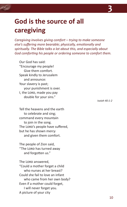# **God is the source of all caregiving**

*Caregiving involves giving comfort – trying to make someone else's suffering more bearable; physically, emotionally and spiritually. The Bible talks a lot about this, and especially about God comforting his people or ordering someone to comfort them.*

Our God has said: "Encourage my people! Give them comfort. Speak kindly to Jerusalem and announce: Your slavery is past; your punishment is over. I, the LORD, made you pay double for your sins."

Tell the heavens and the earth to celebrate and sing; command every mountain to join in the song. The LORD's people have suffered, but he has shown mercy and given them comfort.

The people of Zion said, "The LORD has turned away and forgotten us."

The LORD answered. "Could a mother forget a child who nurses at her breast? Could she fail to love an infant who came from her own body? Even if a mother could forget, I will never forget you. A picture of your city

*Isaiah 40:1-2*

**3**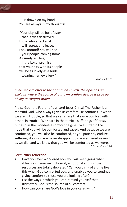is drawn on my hand. You are always in my thoughts!

"Your city will be built faster than it was destroyed – those who attacked it will retreat and leave. Look around! You will see your people coming home. As surely as I live, I, the LORD, promise that your city with its people will be as lovely as a bride wearing her jewellery."

*Isaiah 49:13-18*

### *In his second letter to the Corinthian church, the apostle Paul explains where the source of our own comfort lies, as well as our ability to comfort others.*

Praise God, the Father of our Lord Jesus Christ! The Father is a merciful God, who always gives us comfort. He comforts us when we are in trouble, so that we can share that same comfort with others in trouble. We share in the terrible sufferings of Christ, but also in the wonderful comfort he gives. We suffer in the hope that you will be comforted and saved. And because we are comforted, you will also be comforted, as you patiently endure suffering like ours. You never disappoint us. You suffered as much as we did, and we know that you will be comforted as we were. *2 Corinthians 1:3-7*

- Have you ever wondered how you will keep going when it feels as if your own physical, emotional and spiritual resources are totally depleted? Can you think of a time like this when God comforted you, and enabled you to continue giving comfort to those you are looking after?
- List the ways in which you can remind yourself that. ultimately, God is the source of all comfort.
- How can you share God's love in your caregiving?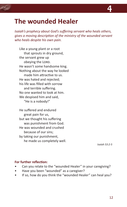# **The wounded Healer**

*Isaiah's prophecy about God's suffering servant who heals others, gives a moving description of the ministry of the wounded servant who heals despite his own pain.*

Like a young plant or a root that sprouts in dry ground, the servant grew up obeving the LORD. He wasn't some handsome king. Nothing about the way he looked made him attractive to us. He was hated and rejected; his life was filled with sorrow and terrible suffering. No one wanted to look at him. We despised him and said, "He is a nobody!"

He suffered and endured great pain for us, but we thought his suffering was punishment from God. He was wounded and crushed because of our sins; by taking our punishment, he made us completely well.

*Isaiah 53:2-5*

**4**

- Can you relate to the "wounded Healer" in your caregiving?
- Have you been "wounded" as a caregiver?
- If so, how do you think the "wounded Healer" can heal you?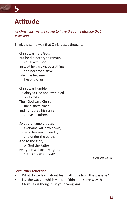# **Attitude**

**5**

*As Christians, we are called to have the same attitude that Jesus had.*

Think the same way that Christ Jesus thought:

Christ was truly God. But he did not try to remain equal with God. Instead he gave up everything and became a slave, when he became like one of us.

Christ was humble. He obeyed God and even died on a cross. Then God gave Christ the highest place and honoured his name above all others.

So at the name of Jesus everyone will bow down, those in heaven, on earth, and under the earth. And to the glory of God the Father everyone will openly agree, "Jesus Christ is Lord!"

*Philippians 2:5-11*

- What do we learn about Jesus' attitude from this passage?
- List the ways in which you can "think the same way that Christ Jesus thought" in your caregiving.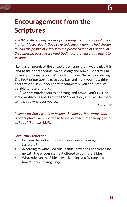# **Encouragement from the Scriptures**

*The Bible offers many words of encouragement to those who seek it. After Moses' death God spoke to Joshua, whom he had chosen to lead the people of Israel into the promised land of Canaan. In the following passage we read God's words of encouragement to Joshua:*

"Long ago I promised the ancestors of Israel that I would give this land to their descendants. So be strong and brave! Be careful to do everything my servant Moses taught you. Never stop reading *The Book of the Law* he gave you. Day and night you must think about what it says. If you obey it completely, you and Israel will be able to take this land.

"I've commanded you to be strong and brave. Don't ever be afraid or discouraged! I am the LORD your God, and I will be there to help you wherever you go."

*Joshua 1:6-9*

**6**

*In line with God's words to Joshua, the apostle Paul writes that "the Scriptures were written to teach and encourage us by giving us hope" (Romans 15:4).*

- Can you think of a time when you were encouraged by Scripture?
- According to what God told Joshua, how does obedience tie up with the encouragement offered to us in the Bible?
- What role can the Bible play in keeping you "strong and brave" in your caregiving?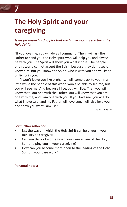# **The Holy Spirit and your caregiving**

*Jesus promised his disciples that the Father would send them the Holy Spirit:*

"If you love me, you will do as I command. Then I will ask the Father to send you the Holy Spirit who will help you and always be with you. The Spirit will show you what is true. The people of this world cannot accept the Spirit, because they don't see or know him. But you know the Spirit, who is with you and will keep on living in you.

"I won't leave you like orphans. I will come back to you. In a little while the people of this world won't be able to see me, but you will see me. And because I live, you will live. Then you will know that I am one with the Father. You will know that you are one with me, and I am one with you. If you love me, you will do what I have said, and my Father will love you. I will also love you and show you what I am like."

*John 14:15-21*

### **For further reflection:**

**7**

- List the ways in which the Holy Spirit can help you in your ministry as caregiver.
- Can you think of a time when you were aware of the Holy Spirit helping you in your caregiving?
- How can you become more open to the leading of the Holy Spirit in your care work?

\_\_\_\_\_\_\_\_\_\_\_\_\_\_\_\_\_\_\_\_\_\_\_\_\_\_\_\_\_\_\_\_\_\_\_\_\_\_\_\_\_\_\_\_\_\_\_\_\_\_\_\_\_

\_\_\_\_\_\_\_\_\_\_\_\_\_\_\_\_\_\_\_\_\_\_\_\_\_\_\_\_\_\_\_\_\_\_\_\_\_\_\_\_\_\_\_\_\_\_\_\_\_\_\_\_\_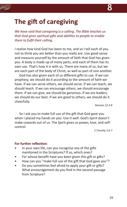# **The gift of caregiving**

*We have said that caregiving is a calling. The Bible teaches us that God gives spiritual gifts and abilities to people to enable them to fulfil their calling.*

I realize how kind God has been to me, and so I tell each of you not to think you are better than you really are. Use good sense and measure yourself by the amount of faith that God has given you. A body is made up of many parts, and each of them has its own use. That's how it is with us. There are many of us, but we are each part of the body of Christ, as well as part of one another.

God has also given each of us different gifts to use. If we can prophesy, we should do it according to the amount of faith we have. If we can serve others, we should serve. If we can teach, we should teach. If we can encourage others, we should encourage them. If we can give, we should be generous. If we are leaders, we should do our best. If we are good to others, we should do it cheerfully.

*Romans 12:3-8*

**8**

So I ask you to make full use of the gift that God gave you when I placed my hands on you. Use it well. God's Spirit doesn't make cowards out of us. The Spirit gives us power, love, and selfcontrol.

*2 Timothy 1:6-7*

- In your own life, can you recognise any of the gifts mentioned in the Scriptures? If so, which ones?
- For whose benefit have you been given this gift or gifts?
- How can you "make full use of the gift that God gave you"?
- Do you sometimes feel afraid to apply your gift or gifts? What encouragement do you find in the second passage from Scripture?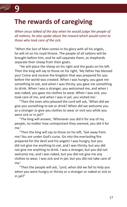# **The rewards of caregiving**

*When Jesus talked of the day when he would judge the people of all nations, he also spoke about the reward which would come to those who took care of the sick.*

"When the Son of Man comes in his glory with all his angels, he will sit on his royal throne. The people of all nations will be brought before him, and he will separate them, as shepherds separate their sheep from their goats.

"He will place the sheep on his right and the goats on his left. Then the king will say to those on his right, 'My father has blessed you! Come and receive the kingdom that was prepared for you before the world was created. When I was hungry, you gave me something to eat, and when I was thirsty, you gave me something to drink. When I was a stranger, you welcomed me, and when I was naked, you gave me clothes to wear. When I was sick, you took care of me, and when I was in jail, you visited me.'

"Then the ones who pleased the Lord will ask, 'When did we give you something to eat or drink? When did we welcome you as a stranger or give you clothes to wear or visit you while you were sick or in jail?'

"The king will answer, 'Whenever you did it for any of my people, no matter how unimportant they seemed, you did it for me.'

"Then the king will say to those on his left, 'Get away from me! You are under God's curse. Go into the everlasting fire prepared for the devil and his angels! I was hungry, but you did not give me anything to eat, and I was thirsty, but you did not give me anything to drink. I was a stranger, but you did not welcome me, and I was naked, but you did not give me any clothes to wear. I was sick and in jail, but you did not take care of me.'

"Then the people will ask, 'Lord, when did we fail to help you when you were hungry or thirsty or a stranger or naked or sick or in jail?'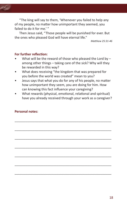"The king will say to them, 'Whenever you failed to help any of my people, no matter how unimportant they seemed, you failed to do it for me'"

Then Jesus said, "Those people will be punished for ever. But the ones who pleased God will have eternal life."

*Matthew 25:31-46*

### **For further reflection:**

- What will be the reward of those who pleased the Lord by  $$ among other things – taking care of the sick? Why will they be rewarded in this way?
- What does receiving "the kingdom that was prepared for you before the world was created" mean to you?
- Jesus says that what you do for any of his people, no matter how unimportant they seem, you are doing for him. How can knowing this fact influence your caregiving?
- What rewards (physical, emotional, relational and spiritual) have you already received through your work as a caregiver?

\_\_\_\_\_\_\_\_\_\_\_\_\_\_\_\_\_\_\_\_\_\_\_\_\_\_\_\_\_\_\_\_\_\_\_\_\_\_\_\_\_\_\_\_\_\_\_\_\_\_\_\_\_

\_\_\_\_\_\_\_\_\_\_\_\_\_\_\_\_\_\_\_\_\_\_\_\_\_\_\_\_\_\_\_\_\_\_\_\_\_\_\_\_\_\_\_\_\_\_\_\_\_\_\_\_\_

\_\_\_\_\_\_\_\_\_\_\_\_\_\_\_\_\_\_\_\_\_\_\_\_\_\_\_\_\_\_\_\_\_\_\_\_\_\_\_\_\_\_\_\_\_\_\_\_\_\_\_\_\_

\_\_\_\_\_\_\_\_\_\_\_\_\_\_\_\_\_\_\_\_\_\_\_\_\_\_\_\_\_\_\_\_\_\_\_\_\_\_\_\_\_\_\_\_\_\_\_\_\_\_\_\_\_

\_\_\_\_\_\_\_\_\_\_\_\_\_\_\_\_\_\_\_\_\_\_\_\_\_\_\_\_\_\_\_\_\_\_\_\_\_\_\_\_\_\_\_\_\_\_\_\_\_\_\_\_\_

\_\_\_\_\_\_\_\_\_\_\_\_\_\_\_\_\_\_\_\_\_\_\_\_\_\_\_\_\_\_\_\_\_\_\_\_\_\_\_\_\_\_\_\_\_\_\_\_\_\_\_\_\_

\_\_\_\_\_\_\_\_\_\_\_\_\_\_\_\_\_\_\_\_\_\_\_\_\_\_\_\_\_\_\_\_\_\_\_\_\_\_\_\_\_\_\_\_\_\_\_\_\_\_\_\_\_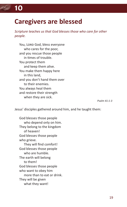# **10**

# **Caregivers are blessed**

*Scripture teaches us that God blesses those who care for other people.*

You, LORD God, bless everyone who cares for the poor, and you rescue those people in times of trouble. You protect them and keep them alive. You make them happy here in this land, and you don't hand them over to their enemies. You always heal them and restore their strength when they are sick.

*Psalm 41:1-3*

Jesus' disciples gathered around him, and he taught them:

God blesses those people who depend only on him. They belong to the kingdom of heaven! God blesses those people who grieve. They will find comfort! God blesses those people who are humble. The earth will belong to them! God blesses those people who want to obey him more than to eat or drink. They will be given what they want!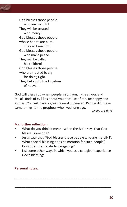God blesses those people who are merciful. They will be treated with mercy! God blesses those people whose hearts are pure. They will see him! God blesses those people who make peace. They will be called his children! God blesses those people who are treated badly for doing right. They belong to the kingdom of heaven.

God will bless you when people insult you, ill-treat you, and tell all kinds of evil lies about you because of me. Be happy and excited! You will have a great reward in heaven. People did these same things to the prophets who lived long ago.

*Matthew 5:1b-12*

### **For further reflection:**

- What do you think it means when the Bible says that God blesses someone?
- Jesus says that "God blesses those people who are merciful". What special blessing does he mention for such people? How does that relate to caregiving?
- List some other ways in which you as a caregiver experience God's blessings.

\_\_\_\_\_\_\_\_\_\_\_\_\_\_\_\_\_\_\_\_\_\_\_\_\_\_\_\_\_\_\_\_\_\_\_\_\_\_\_\_\_\_\_\_\_\_\_\_\_\_\_\_\_

\_\_\_\_\_\_\_\_\_\_\_\_\_\_\_\_\_\_\_\_\_\_\_\_\_\_\_\_\_\_\_\_\_\_\_\_\_\_\_\_\_\_\_\_\_\_\_\_\_\_\_\_\_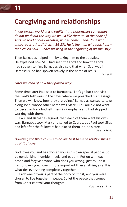# **11**

# **Caregiving and relationships**

*In our broken world, it is a reality that relationships sometimes do not work out the way we would like them to. In the book of Acts we read about Barnabas, whose name means "one who encourages others" (Acts 4:36-37). He is the man who took Paul – then called Saul – under his wing at the beginning of his ministry:* 

Then Barnabas helped him by taking him to the apostles. He explained how Saul had seen the Lord and how the Lord had spoken to him. Barnabas also said that when Saul was in Damascus, he had spoken bravely in the name of Jesus.

*Acts 9:27*

### *Later we read of how they parted ways:*

Some time later Paul said to Barnabas, "Let's go back and visit the Lord's followers in the cities where we preached his message. Then we will know how they are doing." Barnabas wanted to take along John, whose other name was Mark. But Paul did not want to, because Mark had left them in Pamphylia and had stopped working with them.

Paul and Barnabas argued, then each of them went his own way. Barnabas took Mark and sailed to Cyprus, but Paul took Silas and left after the followers had placed them in God's care.

*Acts 15:36-40*

### *However, the Bible calls us to do our best to mend relationships in a spirit of love.*

God loves you and has chosen you as his own special people. So be gentle, kind, humble, meek, and patient. Put up with each other, and forgive anyone who does you wrong, just as Christ has forgiven you. Love is more important than anything else. It is what ties everything completely together.

Each one of you is part of the body of Christ, and you were chosen to live together in peace. So let the peace that comes from Christ control your thoughts.

*Colossians 3:12-15a*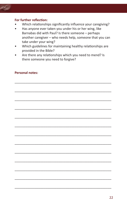### **For further reflection:**

- Which relationships significantly influence your caregiving?
- Has anyone ever taken you under his or her wing, like Barnabas did with Paul? Is there someone – perhaps another caregiver – who needs help, someone that you can take under your wing?
- Which guidelines for maintaining healthy relationships are provided in the Bible?
- Are there any relationships which you need to mend? Is there someone you need to forgive?

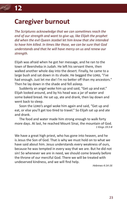# **12**

# **Caregiver burnout**

*The Scriptures acknowledge that we can sometimes reach the end of our strength and want to give up, like Elijah the prophet did when the evil Queen Jezebel let him know that she intended to have him killed. In times like those, we can be sure that God understands and that he will have mercy on us and renew our strength.* 

Elijah was afraid when he got her message, and he ran to the town of Beersheba in Judah. He left his servant there, then walked another whole day into the desert. Finally, he came to a large bush and sat down in its shade. He begged the LORD, "I've had enough. Just let me die! I'm no better off than my ancestors." Then he lay down in the shade and fell asleep.

Suddenly an angel woke him up and said, "Get up and eat." Elijah looked around, and by his head was a jar of water and some baked bread. He sat up, ate and drank, then lay down and went back to sleep.

Soon the LORD's angel woke him again and said, "Get up and eat, or else you'll get too tired to travel." So Elijah sat up and ate and drank.

The food and water made him strong enough to walk forty more days. At last, he reached Mount Sinai, the mountain of God. *1 Kings 19:3-8*

We have a great high priest, who has gone into heaven, and he is Jesus the Son of God. That is why we must hold on to what we have said about him. Jesus understands every weakness of ours, because he was tempted in every way that we are. But he did not sin! So whenever we are in need, we should come bravely before the throne of our merciful God. There we will be treated with undeserved kindness, and we will find help.

*Hebrews 4:14-16*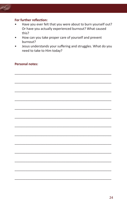### For further reflection:

AK

- Have you ever felt that you were about to burn yourself out?  $\bullet$ Or have you actually experienced burnout? What caused this?
- How can you take proper care of yourself and prevent  $\bullet$ burnout?
- Jesus understands your suffering and struggles. What do you  $\blacksquare$ need to take to Him today?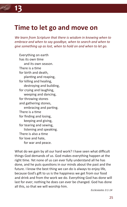# **Time to let go and move on**

*We learn from Scripture that there is wisdom in knowing when to embrace and when to say goodbye, when to search and when to give something up as lost, when to hold on and when to let go.* 

Everything on earth has its own time and its own season. There is a time for birth and death, planting and reaping, for killing and healing, destroying and building, for crying and laughing, weeping and dancing, for throwing stones and gathering stones, embracing and parting. There is a time for finding and losing, keeping and giving, for tearing and sewing, listening and speaking. There is also a time for love and hate, for war and peace.

What do we gain by all our hard work? I have seen what difficult things God demands of us. God makes everything happen at the right time. Yet none of us can ever fully understand all he has done, and he puts questions in our minds about the past and the future. I know the best thing we can do is always to enjoy life, because God's gift to us is the happiness we get from our food and drink and from the work we do. Everything God has done will last for ever; nothing he does can ever be changed. God has done all this, so that we will worship him.

*Ecclesiastes 3:1-14*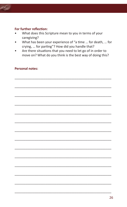### For further reflection:

- $\ddot{\phantom{0}}$ What does this Scripture mean to you in terms of your caregiving?
- What has been your experience of "a time ... for death, ... for  $\blacksquare$ crying, ... for parting"? How did you handle that?
- Are there situations that you need to let go of in order to move on? What do you think is the best way of doing this?

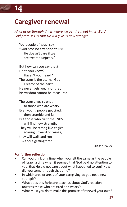# **14**

# **Caregiver renewal**

*All of us go through times where we get tired, but in his Word God promises us that He will give us new strength.*

You people of Israel say, "God pays no attention to us! He doesn't care if we are treated unjustly."

But how can you say that? Don't you know? Haven't you heard? The LORD is the eternal God. Creator of the earth. He never gets weary or tired; his wisdom cannot be measured.

The LORD gives strength to those who are weary. Even young people get tired, then stumble and fall. But those who trust the LORD will find new strength. They will be strong like eagles soaring upward on wings; they will walk and run without getting tired.

*Isaiah 40:27-31*

- Can you think of a time when you felt the same as the people of Israel, a time when it seemed that God paid no attention to you, that He did not care about what happened to you? How did you come through that time?
- In which area or areas of your caregiving do you need new strength?
- What does this Scripture teach us about God's reaction towards those who are tired and weary?
- What must you do to make this promise of renewal your own?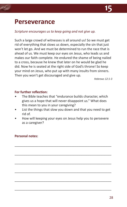## **Perseverance**

### *Scripture encourages us to keep going and not give up.*

Such a large crowd of witnesses is all around us! So we must get rid of everything that slows us down, especially the sin that just won't let go. And we must be determined to run the race that is ahead of us. We must keep our eyes on Jesus, who leads us and makes our faith complete. He endured the shame of being nailed to a cross, because he knew that later on he would be glad he did. Now he is seated at the right side of God's throne! So keep your mind on Jesus, who put up with many insults from sinners. Then you won't get discouraged and give up.

*Hebrews 12:1-3* 

### **For further reflection:**

- The Bible teaches that "endurance builds character, which gives us a hope that will never disappoint us." What does this mean to you in your caregiving?
- List the things that slow you down and that you need to get rid of.
- How will keeping your eyes on Jesus help you to persevere as a caregiver?

\_\_\_\_\_\_\_\_\_\_\_\_\_\_\_\_\_\_\_\_\_\_\_\_\_\_\_\_\_\_\_\_\_\_\_\_\_\_\_\_\_\_\_\_\_\_\_\_\_\_\_\_\_

\_\_\_\_\_\_\_\_\_\_\_\_\_\_\_\_\_\_\_\_\_\_\_\_\_\_\_\_\_\_\_\_\_\_\_\_\_\_\_\_\_\_\_\_\_\_\_\_\_\_\_\_\_

\_\_\_\_\_\_\_\_\_\_\_\_\_\_\_\_\_\_\_\_\_\_\_\_\_\_\_\_\_\_\_\_\_\_\_\_\_\_\_\_\_\_\_\_\_\_\_\_\_\_\_\_\_

\_\_\_\_\_\_\_\_\_\_\_\_\_\_\_\_\_\_\_\_\_\_\_\_\_\_\_\_\_\_\_\_\_\_\_\_\_\_\_\_\_\_\_\_\_\_\_\_\_\_\_\_\_

\_\_\_\_\_\_\_\_\_\_\_\_\_\_\_\_\_\_\_\_\_\_\_\_\_\_\_\_\_\_\_\_\_\_\_\_\_\_\_\_\_\_\_\_\_\_\_\_\_\_\_\_\_

\_\_\_\_\_\_\_\_\_\_\_\_\_\_\_\_\_\_\_\_\_\_\_\_\_\_\_\_\_\_\_\_\_\_\_\_\_\_\_\_\_\_\_\_\_\_\_\_\_\_\_\_\_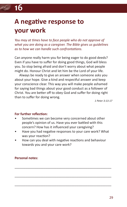# **16**

# **A negative response to your work**

*You may at times have to face people who do not approve of what you are doing as a caregiver. The Bible gives us guidelines as to how we can handle such confrontations.*

Can anyone really harm you for being eager to do good deeds? Even if you have to suffer for doing good things, God will bless you. So stop being afraid and don't worry about what people might do. Honour Christ and let him be the Lord of your life.

Always be ready to give an answer when someone asks you about your hope. Give a kind and respectful answer and keep your conscience clear. This way you will make people ashamed for saying bad things about your good conduct as a follower of Christ. You are better off to obey God and suffer for doing right than to suffer for doing wrong.

*1 Peter 3:13-17*

### **For further reflection:**

- Sometimes we can become very concerned about other people's opinion of us. Have you ever battled with this concern? How has it influenced your caregiving?
- Have you had negative responses to your care work? What was your reaction?
- How can you deal with negative reactions and behaviour towards you and your care work?

\_\_\_\_\_\_\_\_\_\_\_\_\_\_\_\_\_\_\_\_\_\_\_\_\_\_\_\_\_\_\_\_\_\_\_\_\_\_\_\_\_\_\_\_\_\_\_\_\_\_\_\_\_

\_\_\_\_\_\_\_\_\_\_\_\_\_\_\_\_\_\_\_\_\_\_\_\_\_\_\_\_\_\_\_\_\_\_\_\_\_\_\_\_\_\_\_\_\_\_\_\_\_\_\_\_\_

\_\_\_\_\_\_\_\_\_\_\_\_\_\_\_\_\_\_\_\_\_\_\_\_\_\_\_\_\_\_\_\_\_\_\_\_\_\_\_\_\_\_\_\_\_\_\_\_\_\_\_\_\_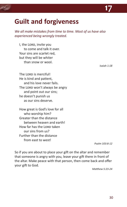# **Guilt and forgiveness**

*We all make mistakes from time to time. Most of us have also experienced being wrongly treated.*

I, the LORD, invite you to come and talk it over. Your sins are scarlet red, but they will be whiter than snow or wool.

*Isaiah 1:18*

**17**

The LORD is merciful! He is kind and patient, and his love never fails. The LORD won't always be angry and point out our sins; he doesn't punish us as our sins deserve.

How great is God's love for all who worship him? Greater than the distance between heaven and earth! How far has the LORD taken our sins from us? Further than the distance from east to west!

*Psalm 103:8-12*

So if you are about to place your gift on the altar and remember that someone is angry with you, leave your gift there in front of the altar. Make peace with that person, then come back and offer your gift to God.

*Matthew 5:23-24*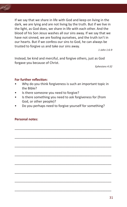If we say that we share in life with God and keep on living in the dark, we are lying and are not living by the truth. But if we live in the light, as God does, we share in life with each other. And the blood of his Son Jesus washes all our sins away. If we say that we have not sinned, we are fooling ourselves, and the truth isn't in our hearts. But if we confess our sins to God, he can always be trusted to forgive us and take our sins away.

*1 John 1:6-9*

Instead, be kind and merciful, and forgive others, just as God forgave you because of Christ.

*Ephesians 4:32*

### **For further reflection:**

- Why do you think forgiveness is such an important topic in the Bible?
- Is there someone you need to forgive?
- Is there something you need to ask forgiveness for (from God, or other people)?
- Do you perhaps need to forgive yourself for something?

\_\_\_\_\_\_\_\_\_\_\_\_\_\_\_\_\_\_\_\_\_\_\_\_\_\_\_\_\_\_\_\_\_\_\_\_\_\_\_\_\_\_\_\_\_\_\_\_\_\_\_\_\_

\_\_\_\_\_\_\_\_\_\_\_\_\_\_\_\_\_\_\_\_\_\_\_\_\_\_\_\_\_\_\_\_\_\_\_\_\_\_\_\_\_\_\_\_\_\_\_\_\_\_\_\_\_

\_\_\_\_\_\_\_\_\_\_\_\_\_\_\_\_\_\_\_\_\_\_\_\_\_\_\_\_\_\_\_\_\_\_\_\_\_\_\_\_\_\_\_\_\_\_\_\_\_\_\_\_\_

\_\_\_\_\_\_\_\_\_\_\_\_\_\_\_\_\_\_\_\_\_\_\_\_\_\_\_\_\_\_\_\_\_\_\_\_\_\_\_\_\_\_\_\_\_\_\_\_\_\_\_\_\_

\_\_\_\_\_\_\_\_\_\_\_\_\_\_\_\_\_\_\_\_\_\_\_\_\_\_\_\_\_\_\_\_\_\_\_\_\_\_\_\_\_\_\_\_\_\_\_\_\_\_\_\_\_

\_\_\_\_\_\_\_\_\_\_\_\_\_\_\_\_\_\_\_\_\_\_\_\_\_\_\_\_\_\_\_\_\_\_\_\_\_\_\_\_\_\_\_\_\_\_\_\_\_\_\_\_\_

\_\_\_\_\_\_\_\_\_\_\_\_\_\_\_\_\_\_\_\_\_\_\_\_\_\_\_\_\_\_\_\_\_\_\_\_\_\_\_\_\_\_\_\_\_\_\_\_\_\_\_\_\_

\_\_\_\_\_\_\_\_\_\_\_\_\_\_\_\_\_\_\_\_\_\_\_\_\_\_\_\_\_\_\_\_\_\_\_\_\_\_\_\_\_\_\_\_\_\_\_\_\_\_\_\_\_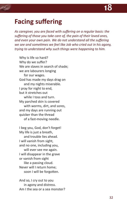# **18**

# **Facing suffering**

*As caregiver, you are faced with suffering on a regular basis: the suffering of those you take care of, the pain of their loved ones, and even your own pain. We do not understand all the suffering we see and sometimes we feel like Job who cried out in his agony, trying to understand why such things were happening to him.*

Why is life so hard? Why do we suffer? We are slaves in search of shade; we are labourers longing for our wages. God has made my days drag on and my nights miserable. I pray for night to end, but it stretches out while I toss and turn. My parched skin is covered with worms, dirt, and sores, and my days are running out quicker than the thread of a fast-moving needle.

I beg you, God, don't forget! My life is just a breath, and trouble lies ahead. I will vanish from sight, and no one, including you, will ever see me again. I will disappear in the grave or vanish from sight like a passing cloud. Never will I return home; soon I will be forgotten.

And so, I cry out to you in agony and distress. Am I the sea or a sea monster?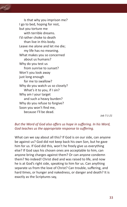Is that why you imprison me? I go to bed, hoping for rest, but you torture me with terrible dreams. I'd rather choke to death than live in this body. Leave me alone and let me die; my life has no meaning. What makes you so concerned about us humans? Why do you test us from sunrise to sunset? Won't you look away just long enough for me to swallow? Why do you watch us so closely? What's it to you, if I sin? Why am I your target and such a heavy burden? Why do you refuse to forgive? Soon you won't find me, because I'll be dead.

*Job 7:1-21*

### *But the Word of God also offers us hope in suffering. In his Word, God teaches us the appropriate response to suffering.*

What can we say about all this? If God is on our side, can anyone be against us? God did not keep back his own Son, but he gave him for us. If God did this, won't he freely give us everything else? If God says his chosen ones are acceptable to him, can anyone bring charges against them? Or can anyone condemn them? No indeed! Christ died and was raised to life, and now he is at God's right side, speaking to him for us. Can anything separate us from the love of Christ? Can trouble, suffering, and hard times, or hunger and nakedness, or danger and death? It is exactly as the Scriptures say,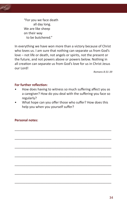"For you we face death all day long. We are like sheep on their way to be butchered."

In everything we have won more than a victory because of Christ who loves us. I am sure that nothing can separate us from God's love – not life or death, not angels or spirits, not the present or the future, and not powers above or powers below. Nothing in all creation can separate us from God's love for us in Christ Jesus our Lord!

*Romans 8:31-39*

### **For further reflection:**

- How does having to witness so much suffering affect you as a caregiver? How do you deal with the suffering you face so regularly?
- What hope can you offer those who suffer? How does this help you when you yourself suffer?

\_\_\_\_\_\_\_\_\_\_\_\_\_\_\_\_\_\_\_\_\_\_\_\_\_\_\_\_\_\_\_\_\_\_\_\_\_\_\_\_\_\_\_\_\_\_\_\_\_\_\_\_\_

\_\_\_\_\_\_\_\_\_\_\_\_\_\_\_\_\_\_\_\_\_\_\_\_\_\_\_\_\_\_\_\_\_\_\_\_\_\_\_\_\_\_\_\_\_\_\_\_\_\_\_\_\_

\_\_\_\_\_\_\_\_\_\_\_\_\_\_\_\_\_\_\_\_\_\_\_\_\_\_\_\_\_\_\_\_\_\_\_\_\_\_\_\_\_\_\_\_\_\_\_\_\_\_\_\_\_

\_\_\_\_\_\_\_\_\_\_\_\_\_\_\_\_\_\_\_\_\_\_\_\_\_\_\_\_\_\_\_\_\_\_\_\_\_\_\_\_\_\_\_\_\_\_\_\_\_\_\_\_\_

\_\_\_\_\_\_\_\_\_\_\_\_\_\_\_\_\_\_\_\_\_\_\_\_\_\_\_\_\_\_\_\_\_\_\_\_\_\_\_\_\_\_\_\_\_\_\_\_\_\_\_\_\_

\_\_\_\_\_\_\_\_\_\_\_\_\_\_\_\_\_\_\_\_\_\_\_\_\_\_\_\_\_\_\_\_\_\_\_\_\_\_\_\_\_\_\_\_\_\_\_\_\_\_\_\_\_

\_\_\_\_\_\_\_\_\_\_\_\_\_\_\_\_\_\_\_\_\_\_\_\_\_\_\_\_\_\_\_\_\_\_\_\_\_\_\_\_\_\_\_\_\_\_\_\_\_\_\_\_\_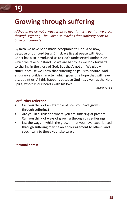# **19**

# **Growing through suffering**

*Although we do not always want to hear it, it is true that we grow through suffering. The Bible also teaches that suffering helps to build our character.*

By faith we have been made acceptable to God. And now, because of our Lord Jesus Christ, we live at peace with God. Christ has also introduced us to God's undeserved kindness on which we take our stand. So we are happy, as we look forward to sharing in the glory of God. But that's not all! We gladly suffer, because we know that suffering helps us to endure. And endurance builds character, which gives us a hope that will never disappoint us. All this happens because God has given us the Holy Spirit, who fills our hearts with his love.

*Romans 5:1-5*

### **For further reflection:**

- Can you think of an example of how you have grown through suffering?
- Are you in a situation where you are suffering at present? Can you think of ways of growing through this suffering?
- List the ways in which the growth that you have experienced through suffering may be an encouragement to others, and specifically to those you take care of.

\_\_\_\_\_\_\_\_\_\_\_\_\_\_\_\_\_\_\_\_\_\_\_\_\_\_\_\_\_\_\_\_\_\_\_\_\_\_\_\_\_\_\_\_\_\_\_\_\_\_\_\_\_

\_\_\_\_\_\_\_\_\_\_\_\_\_\_\_\_\_\_\_\_\_\_\_\_\_\_\_\_\_\_\_\_\_\_\_\_\_\_\_\_\_\_\_\_\_\_\_\_\_\_\_\_\_

\_\_\_\_\_\_\_\_\_\_\_\_\_\_\_\_\_\_\_\_\_\_\_\_\_\_\_\_\_\_\_\_\_\_\_\_\_\_\_\_\_\_\_\_\_\_\_\_\_\_\_\_\_

\_\_\_\_\_\_\_\_\_\_\_\_\_\_\_\_\_\_\_\_\_\_\_\_\_\_\_\_\_\_\_\_\_\_\_\_\_\_\_\_\_\_\_\_\_\_\_\_\_\_\_\_\_

\_\_\_\_\_\_\_\_\_\_\_\_\_\_\_\_\_\_\_\_\_\_\_\_\_\_\_\_\_\_\_\_\_\_\_\_\_\_\_\_\_\_\_\_\_\_\_\_\_\_\_\_\_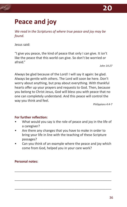

# **Peace and joy**

*We read in the Scriptures of where true peace and joy may be found.*

Jesus said:

"I give you peace, the kind of peace that only I can give. It isn't like the peace that this world can give. So don't be worried or afraid."

*John 14:27*

Always be glad because of the Lord! I will say it again: be glad. Always be gentle with others. The Lord will soon be here. Don't worry about anything, but pray about everything. With thankful hearts offer up your prayers and requests to God. Then, because you belong to Christ Jesus, God will bless you with peace that no one can completely understand. And this peace will control the way you think and feel.

*Philippians 4:4-7*

### **For further reflection:**

- What would you say is the role of peace and joy in the life of a caregiver?
- Are there any changes that you have to make in order to bring your life in line with the teaching of these Scripture passages?
- Can you think of an example where the peace and joy which come from God, helped you in your care work?

\_\_\_\_\_\_\_\_\_\_\_\_\_\_\_\_\_\_\_\_\_\_\_\_\_\_\_\_\_\_\_\_\_\_\_\_\_\_\_\_\_\_\_\_\_\_\_\_\_\_\_\_\_

\_\_\_\_\_\_\_\_\_\_\_\_\_\_\_\_\_\_\_\_\_\_\_\_\_\_\_\_\_\_\_\_\_\_\_\_\_\_\_\_\_\_\_\_\_\_\_\_\_\_\_\_\_

\_\_\_\_\_\_\_\_\_\_\_\_\_\_\_\_\_\_\_\_\_\_\_\_\_\_\_\_\_\_\_\_\_\_\_\_\_\_\_\_\_\_\_\_\_\_\_\_\_\_\_\_\_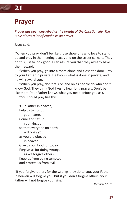# **Prayer**

**21**

*Prayer has been described as the breath of the Christian life. The Bible places a lot of emphasis on prayer.*

Jesus said:

"When you pray, don't be like those show-offs who love to stand up and pray in the meeting places and on the street corners. They do this just to look good. I can assure you that they already have their reward.

"When you pray, go into a room alone and close the door. Pray to your Father in private. He knows what is done in private, and he will reward you.

"When you pray, don't talk on and on as people do who don't know God. They think God likes to hear long prayers. Don't be like them. Your Father knows what you need before you ask.

"You should pray like this:

'Our Father in heaven, help us to honour your name. Come and set up your kingdom, so that everyone on earth will obey you, as you are obeyed in heaven. Give us our food for today. Forgive us for doing wrong, as we forgive others. Keep us from being tempted and protect us from evil.'

"If you forgive others for the wrongs they do to you, your Father in heaven will forgive you. But if you don't forgive others, your Father will not forgive your sins."

*Matthew 6:5-15*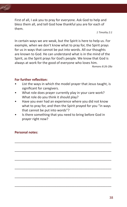First of all, I ask you to pray for everyone. Ask God to help and bless them all, and tell God how thankful you are for each of them.

*1 Timothy 2:1*

In certain ways we are weak, but the Spirit is here to help us. For example, when we don't know what to pray for, the Spirit prays for us in ways that cannot be put into words. All our thoughts are known to God. He can understand what is in the mind of the Spirit, as the Spirit prays for God's people. We know that God is always at work for the good of everyone who loves him.

*Romans 8:26-28a*

### **For further reflection:**

- List the ways in which the model prayer that Jesus taught, is significant for caregivers.
- What role does prayer currently play in your care work? What role do you think it should play?
- Have you ever had an experience where you did not know what to pray for, and then the Spirit prayed for you "in ways that cannot be put into words"?

\_\_\_\_\_\_\_\_\_\_\_\_\_\_\_\_\_\_\_\_\_\_\_\_\_\_\_\_\_\_\_\_\_\_\_\_\_\_\_\_\_\_\_\_\_\_\_\_\_\_\_\_\_

\_\_\_\_\_\_\_\_\_\_\_\_\_\_\_\_\_\_\_\_\_\_\_\_\_\_\_\_\_\_\_\_\_\_\_\_\_\_\_\_\_\_\_\_\_\_\_\_\_\_\_\_\_

\_\_\_\_\_\_\_\_\_\_\_\_\_\_\_\_\_\_\_\_\_\_\_\_\_\_\_\_\_\_\_\_\_\_\_\_\_\_\_\_\_\_\_\_\_\_\_\_\_\_\_\_\_

\_\_\_\_\_\_\_\_\_\_\_\_\_\_\_\_\_\_\_\_\_\_\_\_\_\_\_\_\_\_\_\_\_\_\_\_\_\_\_\_\_\_\_\_\_\_\_\_\_\_\_\_\_

\_\_\_\_\_\_\_\_\_\_\_\_\_\_\_\_\_\_\_\_\_\_\_\_\_\_\_\_\_\_\_\_\_\_\_\_\_\_\_\_\_\_\_\_\_\_\_\_\_\_\_\_\_

\_\_\_\_\_\_\_\_\_\_\_\_\_\_\_\_\_\_\_\_\_\_\_\_\_\_\_\_\_\_\_\_\_\_\_\_\_\_\_\_\_\_\_\_\_\_\_\_\_\_\_\_\_

Is there something that you need to bring before God in prayer right now?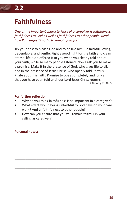# **22**

# **Faithfulness**

*One of the important characteristics of a caregiver is faithfulness: faithfulness to God as well as faithfulness to other people. Read how Paul urges Timothy to remain faithful.*

Try your best to please God and to be like him. Be faithful, loving, dependable, and gentle. Fight a good fight for the faith and claim eternal life. God offered it to you when you clearly told about your faith, while so many people listened. Now I ask you to make a promise. Make it in the presence of God, who gives life to all, and in the presence of Jesus Christ, who openly told Pontius Pilate about his faith. Promise to obey completely and fully all that you have been told until our Lord Jesus Christ returns.

*1 Timothy 6:11b-14*

### **For further reflection:**

- Why do you think faithfulness is so important in a caregiver?
- What effect would being unfaithful to God have on your care work? And unfaithfulness to other people?

\_\_\_\_\_\_\_\_\_\_\_\_\_\_\_\_\_\_\_\_\_\_\_\_\_\_\_\_\_\_\_\_\_\_\_\_\_\_\_\_\_\_\_\_\_\_\_\_\_\_\_\_\_

\_\_\_\_\_\_\_\_\_\_\_\_\_\_\_\_\_\_\_\_\_\_\_\_\_\_\_\_\_\_\_\_\_\_\_\_\_\_\_\_\_\_\_\_\_\_\_\_\_\_\_\_\_

\_\_\_\_\_\_\_\_\_\_\_\_\_\_\_\_\_\_\_\_\_\_\_\_\_\_\_\_\_\_\_\_\_\_\_\_\_\_\_\_\_\_\_\_\_\_\_\_\_\_\_\_\_

\_\_\_\_\_\_\_\_\_\_\_\_\_\_\_\_\_\_\_\_\_\_\_\_\_\_\_\_\_\_\_\_\_\_\_\_\_\_\_\_\_\_\_\_\_\_\_\_\_\_\_\_\_

\_\_\_\_\_\_\_\_\_\_\_\_\_\_\_\_\_\_\_\_\_\_\_\_\_\_\_\_\_\_\_\_\_\_\_\_\_\_\_\_\_\_\_\_\_\_\_\_\_\_\_\_\_

• How can you ensure that you will remain faithful in your calling as caregiver?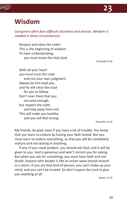# **Wisdom**

*Caregivers often face difficult situations and choices. Wisdom is needed in these circumstances.*

Respect and obey the LORD! This is the beginning of wisdom. To have understanding, you must know the Holy God.

*Proverbs 9:10*

With all your heart you must trust the Lord and not your own judgment. Always let him lead you, and he will clear the road for you to follow. Don't ever think that you are wise enough, but respect the LORD and stay away from evil. This will make you healthy, and you will feel strong.

*Proverbs 3:5-8*

My friends, be glad, even if you have a lot of trouble. You know that you learn to endure by having your faith tested. But you must learn to endure everything, so that you will be completely mature and not lacking in anything.

If any of you need wisdom, you should ask God, and it will be given to you. God is generous and won't correct you for asking. But when you ask for something, you must have faith and not doubt. Anyone who doubts is like an ocean wave tossed around in a storm. If you are that kind of person, you can't make up your mind, and you can't be trusted. So don't expect the Lord to give you anything at all.

*James 1:2-8*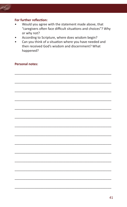### For further reflection:

- Would you agree with the statement made above, that  $\bullet$ "caregivers often face difficult situations and choices"? Why or why not?
- $\bullet$ According to Scripture, where does wisdom begin?
- Can you think of a situation where you have needed and  $\bullet$ then received God's wisdom and discernment? What happened?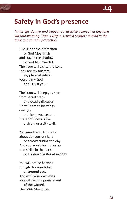

# **Safety in God's presence**

*In this life, danger and tragedy could strike a person at any time without warning. That is why it is such a comfort to read in the Bible about God's protection.*

Live under the protection of God Most High and stay in the shadow of God All-Powerful. Then you will say to the LORD, "You are my fortress, my place of safety; you are my God, and I trust you."

The LORD will keep you safe from secret traps and deadly diseases. He will spread his wings over you and keep you secure. His faithfulness is like a shield or a city wall.

You won't need to worry about dangers at night or arrows during the day. And you won't fear diseases that strike in the dark or sudden disaster at midday.

You will not be harmed, though thousands fall all around you. And with your own eyes you will see the punishment of the wicked. The LORD Most High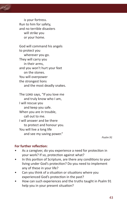is your fortress. Run to him for safety, and no terrible disasters will strike you or your home.

God will command his angels to protect you wherever you go. They will carry you in their arms, and you won't hurt your feet on the stones. You will overpower the strongest lions and the most deadly snakes.

The LORD says, "If you love me and truly know who I am, I will rescue you and keep you safe. When you are in trouble, call out to me. I will answer and be there to protect and honour you. You will live a long life and see my saving power."

*Psalm 91*

- As a caregiver, do you experience a need for protection in your work? If so, protection against what?
- In this portion of Scripture, are there any conditions to your living under God's protection? Do you need to implement any of these in your life?
- Can you think of a situation or situations where you experienced God's protection in the past?
- How can such experiences and the truths taught in Psalm 91 help you in your present situation?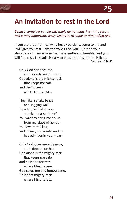# **An invitation to rest in the Lord**

*Being a caregiver can be extremely demanding. For that reason, rest is very important. Jesus invites us to come to Him to find rest.*

If you are tired from carrying heavy burdens, come to me and I will give you rest. Take the yoke I give you. Put it on your shoulders and learn from me. I am gentle and humble, and you will find rest. This yoke is easy to bear, and this burden is light. *Matthew 11:28-30*

Only God can save me, and I calmly wait for him. God alone is the mighty rock that keeps me safe and the fortress where I am secure.

I feel like a shaky fence or a sagging wall. How long will all of you attack and assault me? You want to bring me down from my place of honour. You love to tell lies, and when your words are kind, hatred hides in your heart.

Only God gives inward peace, and I depend on him. God alone is the mighty rock that keeps me safe, and he is the fortress where I feel secure. God saves me and honours me. He is that mighty rock where I find safety.

**25**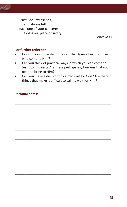Trust God, my friends, and always tell him each one of your concerns. God is our place of safety.

*Psalm 62:1-8*

### **For further reflection:**

- How do you understand the rest that Jesus offers to those who come to Him?
- Can you think of practical ways in which you can come to Jesus to find rest? Are there perhaps any burdens that you need to bring to Him?
- Can you make a decision to calmly wait for God? Are there things that make it difficult to calmly wait for Him?

\_\_\_\_\_\_\_\_\_\_\_\_\_\_\_\_\_\_\_\_\_\_\_\_\_\_\_\_\_\_\_\_\_\_\_\_\_\_\_\_\_\_\_\_\_\_\_\_\_\_\_\_\_

\_\_\_\_\_\_\_\_\_\_\_\_\_\_\_\_\_\_\_\_\_\_\_\_\_\_\_\_\_\_\_\_\_\_\_\_\_\_\_\_\_\_\_\_\_\_\_\_\_\_\_\_\_

\_\_\_\_\_\_\_\_\_\_\_\_\_\_\_\_\_\_\_\_\_\_\_\_\_\_\_\_\_\_\_\_\_\_\_\_\_\_\_\_\_\_\_\_\_\_\_\_\_\_\_\_\_

\_\_\_\_\_\_\_\_\_\_\_\_\_\_\_\_\_\_\_\_\_\_\_\_\_\_\_\_\_\_\_\_\_\_\_\_\_\_\_\_\_\_\_\_\_\_\_\_\_\_\_\_\_

\_\_\_\_\_\_\_\_\_\_\_\_\_\_\_\_\_\_\_\_\_\_\_\_\_\_\_\_\_\_\_\_\_\_\_\_\_\_\_\_\_\_\_\_\_\_\_\_\_\_\_\_\_

\_\_\_\_\_\_\_\_\_\_\_\_\_\_\_\_\_\_\_\_\_\_\_\_\_\_\_\_\_\_\_\_\_\_\_\_\_\_\_\_\_\_\_\_\_\_\_\_\_\_\_\_\_

\_\_\_\_\_\_\_\_\_\_\_\_\_\_\_\_\_\_\_\_\_\_\_\_\_\_\_\_\_\_\_\_\_\_\_\_\_\_\_\_\_\_\_\_\_\_\_\_\_\_\_\_\_

\_\_\_\_\_\_\_\_\_\_\_\_\_\_\_\_\_\_\_\_\_\_\_\_\_\_\_\_\_\_\_\_\_\_\_\_\_\_\_\_\_\_\_\_\_\_\_\_\_\_\_\_\_

\_\_\_\_\_\_\_\_\_\_\_\_\_\_\_\_\_\_\_\_\_\_\_\_\_\_\_\_\_\_\_\_\_\_\_\_\_\_\_\_\_\_\_\_\_\_\_\_\_\_\_\_\_

\_\_\_\_\_\_\_\_\_\_\_\_\_\_\_\_\_\_\_\_\_\_\_\_\_\_\_\_\_\_\_\_\_\_\_\_\_\_\_\_\_\_\_\_\_\_\_\_\_\_\_\_\_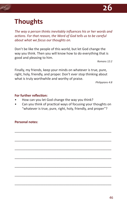# **Thoughts**

*The way a person thinks inevitably influences his or her words and actions. For that reason, the Word of God tells us to be careful about what we focus our thoughts on.*

Don't be like the people of this world, but let God change the way you think. Then you will know how to do everything that is good and pleasing to him.

*Romans 12:2*

Finally, my friends, keep your minds on whatever is true, pure, right, holy, friendly, and proper. Don't ever stop thinking about what is truly worthwhile and worthy of praise.

*Philippians 4:8*

### **For further reflection:**

- How can you let God change the way you think?
- Can you think of practical ways of focusing your thoughts on "whatever is true, pure, right, holy, friendly, and proper"?

\_\_\_\_\_\_\_\_\_\_\_\_\_\_\_\_\_\_\_\_\_\_\_\_\_\_\_\_\_\_\_\_\_\_\_\_\_\_\_\_\_\_\_\_\_\_\_\_\_\_\_\_\_

\_\_\_\_\_\_\_\_\_\_\_\_\_\_\_\_\_\_\_\_\_\_\_\_\_\_\_\_\_\_\_\_\_\_\_\_\_\_\_\_\_\_\_\_\_\_\_\_\_\_\_\_\_

\_\_\_\_\_\_\_\_\_\_\_\_\_\_\_\_\_\_\_\_\_\_\_\_\_\_\_\_\_\_\_\_\_\_\_\_\_\_\_\_\_\_\_\_\_\_\_\_\_\_\_\_\_

\_\_\_\_\_\_\_\_\_\_\_\_\_\_\_\_\_\_\_\_\_\_\_\_\_\_\_\_\_\_\_\_\_\_\_\_\_\_\_\_\_\_\_\_\_\_\_\_\_\_\_\_\_

\_\_\_\_\_\_\_\_\_\_\_\_\_\_\_\_\_\_\_\_\_\_\_\_\_\_\_\_\_\_\_\_\_\_\_\_\_\_\_\_\_\_\_\_\_\_\_\_\_\_\_\_\_

\_\_\_\_\_\_\_\_\_\_\_\_\_\_\_\_\_\_\_\_\_\_\_\_\_\_\_\_\_\_\_\_\_\_\_\_\_\_\_\_\_\_\_\_\_\_\_\_\_\_\_\_\_

\_\_\_\_\_\_\_\_\_\_\_\_\_\_\_\_\_\_\_\_\_\_\_\_\_\_\_\_\_\_\_\_\_\_\_\_\_\_\_\_\_\_\_\_\_\_\_\_\_\_\_\_\_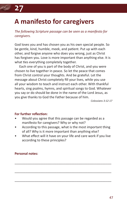# **A manifesto for caregivers**

*The following Scripture passage can be seen as a manifesto for caregivers.*

God loves you and has chosen you as his own special people. So be gentle, kind, humble, meek, and patient. Put up with each other, and forgive anyone who does you wrong, just as Christ has forgiven you. Love is more important than anything else. It is what ties everything completely together.

Each one of you is part of the body of Christ, and you were chosen to live together in peace. So let the peace that comes from Christ control your thoughts. And be grateful. Let the message about Christ completely fill your lives, while you use all your wisdom to teach and instruct each other. With thankful hearts, sing psalms, hymns, and spiritual songs to God. Whatever you say or do should be done in the name of the Lord Jesus, as you give thanks to God the Father because of him.

*Colossians 3:12-17*

### **For further reflection:**

**27**

- Would you agree that this passage can be regarded as a manifesto for caregivers? Why or why not?
- According to this passage, what is the most important thing of all? Why is it more important than anything else?
- What effect will it have on your life and care work if you live according to these principles?

\_\_\_\_\_\_\_\_\_\_\_\_\_\_\_\_\_\_\_\_\_\_\_\_\_\_\_\_\_\_\_\_\_\_\_\_\_\_\_\_\_\_\_\_\_\_\_\_\_\_\_\_\_

\_\_\_\_\_\_\_\_\_\_\_\_\_\_\_\_\_\_\_\_\_\_\_\_\_\_\_\_\_\_\_\_\_\_\_\_\_\_\_\_\_\_\_\_\_\_\_\_\_\_\_\_\_

\_\_\_\_\_\_\_\_\_\_\_\_\_\_\_\_\_\_\_\_\_\_\_\_\_\_\_\_\_\_\_\_\_\_\_\_\_\_\_\_\_\_\_\_\_\_\_\_\_\_\_\_\_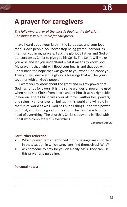# **28**

# **A prayer for caregivers**

*The following prayer of the apostle Paul for the Ephesian Christians is very suitable for caregivers.*

I have heard about your faith in the Lord Jesus and your love for all God's people. So I never stop being grateful for you, as I mention you in my prayers. I ask the glorious Father and God of our Lord Jesus Christ to give you his Spirit. The Spirit will make you wise and let you understand what it means to know God. My prayer is that light will flood your hearts and that you will understand the hope that was given to you when God chose you. Then you will discover the glorious blessings that will be yours together with all God's people.

I want you to know about the great and mighty power that God has for us followers. It is the same wonderful power he used when he raised Christ from death and let him sit at his right side in heaven. There Christ rules over all forces, authorities, powers, and rulers. He rules over all beings in this world and will rule in the future world as well. God has put all things under the power of Christ, and for the good of the church he has made him the head of everything. The church is Christ's body and is filled with Christ who completely fills everything.

*Ephesians 1:15-23*

### **For further reflection:**

- Which prayer items mentioned in this passage are important in the situation in which caregivers find themselves? Why?
- Ask someone to pray for you on a daily basis. They can use this prayer as a guideline.

\_\_\_\_\_\_\_\_\_\_\_\_\_\_\_\_\_\_\_\_\_\_\_\_\_\_\_\_\_\_\_\_\_\_\_\_\_\_\_\_\_\_\_\_\_\_\_\_\_\_\_\_\_

\_\_\_\_\_\_\_\_\_\_\_\_\_\_\_\_\_\_\_\_\_\_\_\_\_\_\_\_\_\_\_\_\_\_\_\_\_\_\_\_\_\_\_\_\_\_\_\_\_\_\_\_\_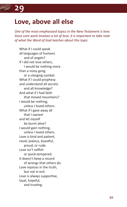# **29**

# **Love, above all else**

*One of the most emphasised topics in the New Testament is love. Since care work involves a lot of love, it is important to take note of what the Word of God teaches about this topic.*

What if I could speak all languages of humans and of angels? If I did not love others, I would be nothing more than a noisy gong or a clanging cymbal. What if I could prophesy and understand all secrets and all knowledge? And what if I had faith that moved mountains? I would be nothing, unless I loved others. What if I gave away all that I owned and let myself be burnt alive? I would gain nothing, unless I loved others. Love is kind and patient, never jealous, boastful, proud, or rude. Love isn't selfish or quick-tempered. It doesn't keep a record of wrongs that others do. Love rejoices in the truth, but not in evil. Love is always supportive, loyal, hopeful, and trusting.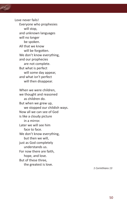Love never fails! Everyone who prophesies will stop. and unknown languages will no longer be spoken. All that we know will be forgotten. We don't know everything, and our prophecies are not complete. But what is perfect will some day appear, and what isn't perfect will then disappear.

When we were children, we thought and reasoned as children do. But when we grew up, we stopped our childish ways. Now all we can see of God is like a cloudy picture in a mirror. Later we will see him face to face. We don't know everything, but then we will, just as God completely understands us. For now there are faith, hope, and love. But of these three, the greatest is love.

*1 Corinthians 13*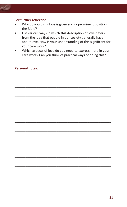### **For further reflection:**

- Why do you think love is given such a prominent position in the Bible?
- List various ways in which this description of love differs from the idea that people in our society generally have about love. How is your understanding of this significant for your care work?
- Which aspects of love do you need to express more in your care work? Can you think of practical ways of doing this?

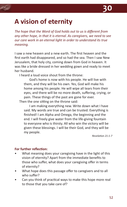

# **A vision of eternity**

*The hope that the Word of God holds out to us is different from any other hope, in that it is eternal. As caregivers, we need to see our care work in an eternal light in order to understand its true meaning.*

I saw a new heaven and a new earth. The first heaven and the first earth had disappeared, and so had the sea. Then I saw New Jerusalem, that holy city, coming down from God in heaven. It was like a bride dressed in her wedding gown and ready to meet her husband.

I heard a loud voice shout from the throne:

 God's home is now with his people. He will live with them, and they will be his own. Yes, God will make his home among his people. He will wipe all tears from their eyes, and there will be no more death, suffering, crying, or pain. These things of the past are gone for ever. Then the one sitting on the throne said:

 I am making everything new. Write down what I have said. My words are true and can be trusted. Everything is finished! I am Alpha and Omega, the beginning and the end. I will freely give water from the life-giving fountain to everyone who is thirsty. All who win the victory will be given these blessings. I will be their God, and they will be my people.

*Revelation 21:1-7*

- What meaning does your caregiving have in the light of this vision of eternity? Apart from the immediate benefits to those who suffer, what does your caregiving offer in terms of eternity?
- What hope does this passage offer to caregivers and to all who suffer?
- Can you think of practical ways to make this hope more real to those that you take care of?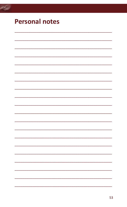| <b>Personal notes</b> |  |  |
|-----------------------|--|--|
|                       |  |  |
|                       |  |  |
|                       |  |  |
|                       |  |  |
|                       |  |  |
|                       |  |  |
|                       |  |  |
|                       |  |  |
|                       |  |  |
|                       |  |  |
|                       |  |  |
|                       |  |  |
|                       |  |  |
|                       |  |  |
|                       |  |  |
|                       |  |  |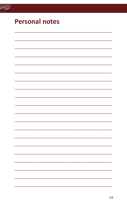| <b>Personal notes</b> |  |  |
|-----------------------|--|--|
|                       |  |  |
|                       |  |  |
|                       |  |  |
|                       |  |  |
|                       |  |  |
|                       |  |  |
|                       |  |  |
|                       |  |  |
|                       |  |  |
|                       |  |  |
|                       |  |  |

 $\rightarrow$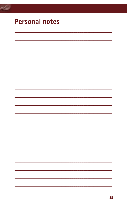| <b>Personal notes</b> |  |  |
|-----------------------|--|--|
|                       |  |  |
|                       |  |  |
|                       |  |  |
|                       |  |  |
|                       |  |  |
|                       |  |  |
|                       |  |  |
|                       |  |  |
|                       |  |  |
|                       |  |  |
|                       |  |  |
|                       |  |  |
|                       |  |  |
|                       |  |  |
|                       |  |  |
|                       |  |  |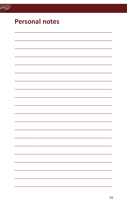| <b>Personal notes</b> |  |
|-----------------------|--|
|                       |  |
|                       |  |
|                       |  |
|                       |  |
|                       |  |
|                       |  |
|                       |  |
|                       |  |
|                       |  |
|                       |  |